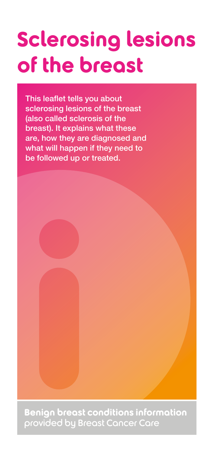# **Sclerosing lesions of the breast**

This leaflet tells you about sclerosing lesions of the breast (also called sclerosis of the breast). It explains what these are, how they are diagnosed and what will happen if they need to be followed up or treated.

**Benign breast conditions information**  provided by Breast Cancer Care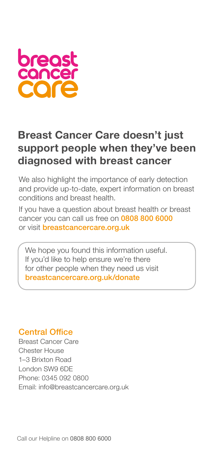

# **Breast Cancer Care doesn't just support people when they've been diagnosed with breast cancer**

We also highlight the importance of early detection and provide up-to-date, expert information on breast conditions and breast health.

If you have a question about breast health or breast cancer you can call us free on 0808 800 6000 or visit **breastcancercare.org.uk** 

We hope you found this information useful. If you'd like to help ensure we're there for other people when they need us visit breastcancercare.org.uk/donate

#### Central Office

Breast Cancer Care Chester House 1–3 Brixton Road London SW9 6DE Phone: 0345 092 0800 Email: info@breastcancercare.org.uk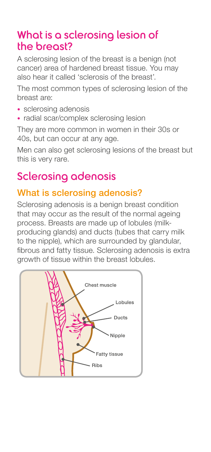# What is a sclerosing lesion of the breast?

A sclerosing lesion of the breast is a benign (not cancer) area of hardened breast tissue. You may also hear it called 'sclerosis of the breast'.

The most common types of sclerosing lesion of the breast are:

- sclerosing adenosis
- radial scar/complex sclerosing lesion

They are more common in women in their 30s or 40s, but can occur at any age.

Men can also get sclerosing lesions of the breast but this is very rare.

# Sclerosing adenosis

### What is sclerosing adenosis?

Sclerosing adenosis is a benign breast condition that may occur as the result of the normal ageing process. Breasts are made up of lobules (milkproducing glands) and ducts (tubes that carry milk to the nipple), which are surrounded by glandular, fibrous and fatty tissue. Sclerosing adenosis is extra growth of tissue within the breast lobules.

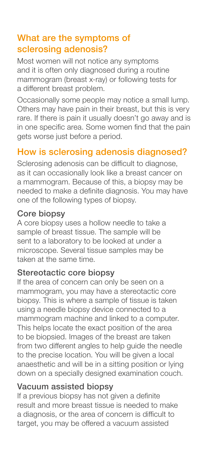#### What are the symptoms of sclerosing adenosis?

Most women will not notice any symptoms and it is often only diagnosed during a routine mammogram (breast x-ray) or following tests for a different breast problem.

Occasionally some people may notice a small lump. Others may have pain in their breast, but this is very rare. If there is pain it usually doesn't go away and is in one specific area. Some women find that the pain gets worse just before a period.

#### How is sclerosing adenosis diagnosed?

Sclerosing adenosis can be difficult to diagnose, as it can occasionally look like a breast cancer on a mammogram. Because of this, a biopsy may be needed to make a definite diagnosis. You may have one of the following types of biopsy.

#### Core biopsy

A core biopsy uses a hollow needle to take a sample of breast tissue. The sample will be sent to a laboratory to be looked at under a microscope. Several tissue samples may be taken at the same time.

#### Stereotactic core biopsy

If the area of concern can only be seen on a mammogram, you may have a stereotactic core biopsy. This is where a sample of tissue is taken using a needle biopsy device connected to a mammogram machine and linked to a computer. This helps locate the exact position of the area to be biopsied. Images of the breast are taken from two different angles to help guide the needle to the precise location. You will be given a local anaesthetic and will be in a sitting position or lying down on a specially designed examination couch.

#### Vacuum assisted biopsy

If a previous biopsy has not given a definite result and more breast tissue is needed to make a diagnosis, or the area of concern is difficult to target, you may be offered a vacuum assisted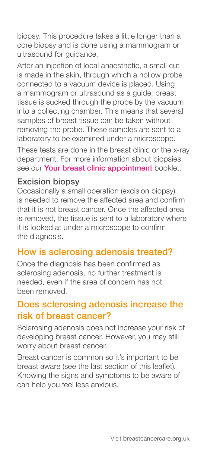biopsy. This procedure takes a little longer than a core biopsy and is done using a mammogram or ultrasound for guidance.

After an injection of local anaesthetic, a small cut is made in the skin, through which a hollow probe connected to a vacuum device is placed. Using a mammogram or ultrasound as a guide, breast tissue is sucked through the probe by the vacuum into a collecting chamber. This means that several samples of breast tissue can be taken without removing the probe. These samples are sent to a laboratory to be examined under a microscope.

These tests are done in the breast clinic or the x-ray department. For more information about biopsies, see our Your breast clinic appointment booklet.

#### Excision biopsy

Occasionally a small operation (excision biopsy) is needed to remove the affected area and confirm that it is not breast cancer. Once the affected area is removed, the tissue is sent to a laboratory where it is looked at under a microscope to confirm the diagnosis.

#### How is sclerosing adenosis treated?

Once the diagnosis has been confirmed as sclerosing adenosis, no further treatment is needed, even if the area of concern has not been removed.

#### Does sclerosing adenosis increase the risk of breast cancer?

Sclerosing adenosis does not increase your risk of developing breast cancer. However, you may still worry about breast cancer.

Breast cancer is common so it's important to be breast aware (see the last section of this leaflet). Knowing the signs and symptoms to be aware of can help you feel less anxious.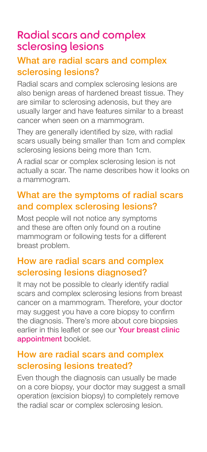# Radial scars and complex sclerosing lesions

#### What are radial scars and complex sclerosing lesions?

Radial scars and complex sclerosing lesions are also benign areas of hardened breast tissue. They are similar to sclerosing adenosis, but they are usually larger and have features similar to a breast cancer when seen on a mammogram.

They are generally identified by size, with radial scars usually being smaller than 1cm and complex sclerosing lesions being more than 1cm.

A radial scar or complex sclerosing lesion is not actually a scar. The name describes how it looks on a mammogram.

#### What are the symptoms of radial scars and complex sclerosing lesions?

Most people will not notice any symptoms and these are often only found on a routine mammogram or following tests for a different breast problem.

#### How are radial scars and complex sclerosing lesions diagnosed?

It may not be possible to clearly identify radial scars and complex sclerosing lesions from breast cancer on a mammogram. Therefore, your doctor may suggest you have a core biopsy to confirm the diagnosis. There's more about core biopsies earlier in this leaflet or see our Your breast clinic appointment booklet.

#### How are radial scars and complex sclerosing lesions treated?

Even though the diagnosis can usually be made on a core biopsy, your doctor may suggest a small operation (excision biopsy) to completely remove the radial scar or complex sclerosing lesion.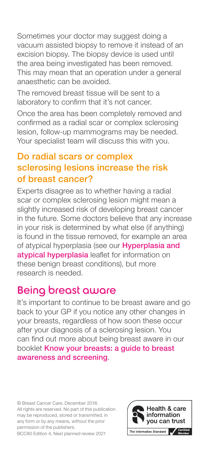Sometimes your doctor may suggest doing a vacuum assisted biopsy to remove it instead of an excision biopsy. The biopsy device is used until the area being investigated has been removed. This may mean that an operation under a general anaesthetic can be avoided.

The removed breast tissue will be sent to a laboratory to confirm that it's not cancer.

Once the area has been completely removed and confirmed as a radial scar or complex sclerosing lesion, follow-up mammograms may be needed. Your specialist team will discuss this with you.

#### Do radial scars or complex sclerosing lesions increase the risk of breast cancer?

Experts disagree as to whether having a radial scar or complex sclerosing lesion might mean a slightly increased risk of developing breast cancer in the future. Some doctors believe that any increase in your risk is determined by what else (if anything) is found in the tissue removed, for example an area of atypical hyperplasia (see our **Hyperplasia and** atypical hyperplasia leaflet for information on these benign breast conditions), but more research is needed.

### Being breast aware

It's important to continue to be breast aware and go back to your GP if you notice any other changes in your breasts, regardless of how soon these occur after your diagnosis of a sclerosing lesion. You can find out more about being breast aware in our booklet Know your breasts: a guide to breast awareness and screening.

© Breast Cancer Care, December 2018. All rights are reserved. No part of this publication may be reproduced, stored or transmitted, in any form or by any means, without the prior permission of the publishers. BCC80 Edition 4, Next planned review 2021